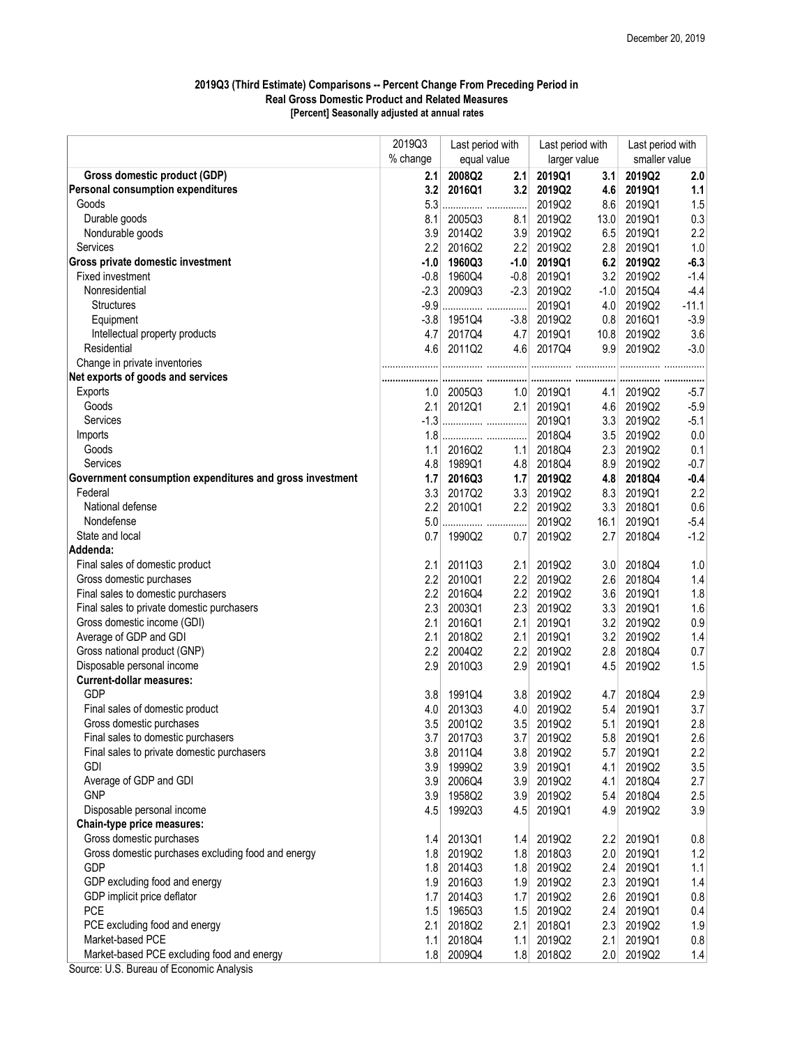## 2019Q3 (Third Estimate) Comparisons -- Percent Change From Preceding Period in Real Gross Domestic Product and Related Measures [Percent] Seasonally adjusted at annual rates

|                                                          | 2019Q3           | Last period with<br>equal value |        | Last period with<br>larger value |        | Last period with<br>smaller value |         |
|----------------------------------------------------------|------------------|---------------------------------|--------|----------------------------------|--------|-----------------------------------|---------|
|                                                          | % change         |                                 |        |                                  |        |                                   |         |
| Gross domestic product (GDP)                             | 2.1              | 2008Q2                          | 2.1    | 2019Q1                           | 3.1    | 2019Q2                            | 2.0     |
| Personal consumption expenditures                        | 3.2              | 2016Q1                          | 3.2    | 2019Q2                           | 4.6    | 2019Q1                            | 1.1     |
| Goods                                                    | 5.3              |                                 |        | 2019Q2                           | 8.6    | 2019Q1                            | 1.5     |
| Durable goods                                            | 8.1              | 2005Q3                          | 8.1    | 2019Q2                           | 13.0   | 2019Q1                            | 0.3     |
| Nondurable goods                                         | 3.9              | 2014Q2                          | 3.9    | 2019Q2                           | 6.5    | 2019Q1                            | 2.2     |
| Services                                                 | 2.2              | 2016Q2                          | 2.2    | 2019Q2                           | 2.8    | 2019Q1                            | 1.0     |
| Gross private domestic investment                        | $-1.0$           | 1960Q3                          | $-1.0$ | 2019Q1                           | 6.2    | 2019Q2                            | $-6.3$  |
| Fixed investment                                         | $-0.8$           | 1960Q4                          | $-0.8$ | 2019Q1                           | 3.2    | 2019Q2                            | $-1.4$  |
| Nonresidential                                           | $-2.3$           | 2009Q3                          | $-2.3$ | 2019Q2                           | $-1.0$ | 2015Q4                            | $-4.4$  |
| <b>Structures</b>                                        | $-9.9$           |                                 |        | 2019Q1                           | 4.0    | 2019Q2                            | $-11.1$ |
| Equipment                                                | $-3.8$           | 1951Q4                          | $-3.8$ | 2019Q2                           | 0.8    | 2016Q1                            | $-3.9$  |
| Intellectual property products                           | 4.7              | 2017Q4                          | 4.7    | 2019Q1                           | 10.8   | 2019Q2                            | 3.6     |
| Residential                                              | 4.6              | 2011Q2                          | 4.6    | 2017Q4                           | 9.9    | 2019Q2                            | $-3.0$  |
| Change in private inventories                            |                  |                                 |        |                                  |        |                                   |         |
| Net exports of goods and services                        |                  |                                 |        |                                  |        |                                   |         |
| Exports                                                  | 1.0 <sub>1</sub> | 2005Q3                          | 1.0    | 2019Q1                           | 4.1    | 2019Q2                            | $-5.7$  |
| Goods                                                    | 2.1              | 2012Q1                          | 2.1    | 2019Q1                           | 4.6    | 2019Q2                            | $-5.9$  |
| Services                                                 | $-1.3$           |                                 |        | 2019Q1                           | 3.3    | 2019Q2                            | $-5.1$  |
| Imports                                                  |                  |                                 |        | 2018Q4                           | 3.5    | 2019Q2                            | 0.0     |
| Goods                                                    | 1.1              | 2016Q2                          | 1.1    | 2018Q4                           | 2.3    | 2019Q2                            | 0.1     |
| Services                                                 | 4.8              | 1989Q1                          | 4.8    | 2018Q4                           | 8.9    | 2019Q2                            | $-0.7$  |
| Government consumption expenditures and gross investment | 1.7              | 2016Q3                          | 1.7    | 2019Q2                           | 4.8    | 2018Q4                            | $-0.4$  |
| Federal                                                  | 3.3              | 2017Q2                          | 3.3    | 2019Q2                           | 8.3    | 2019Q1                            | 2.2     |
| National defense                                         | 2.2              | 2010Q1                          | 2.2    | 2019Q2                           | 3.3    | 2018Q1                            | 0.6     |
| Nondefense                                               | 5.0              |                                 |        | 2019Q2                           | 16.1   | 2019Q1                            | $-5.4$  |
| State and local                                          | 0.7              | 1990Q2                          | 0.7    | 2019Q2                           | 2.7    | 2018Q4                            | $-1.2$  |
| Addenda:                                                 |                  |                                 |        |                                  |        |                                   |         |
| Final sales of domestic product                          | 2.1              | 2011Q3                          | 2.1    | 2019Q2                           | 3.0    | 2018Q4                            | 1.0     |
| Gross domestic purchases                                 | 2.2              | 2010Q1                          | 2.2    | 2019Q2                           | 2.6    | 2018Q4                            | 1.4     |
| Final sales to domestic purchasers                       | 2.2              | 2016Q4                          | 2.2    | 2019Q2                           | 3.6    | 2019Q1                            | 1.8     |
| Final sales to private domestic purchasers               | 2.3              | 2003Q1                          | 2.3    | 2019Q2                           | 3.3    | 2019Q1                            | 1.6     |
| Gross domestic income (GDI)                              | 2.1              | 2016Q1                          | 2.1    | 2019Q1                           | 3.2    | 2019Q2                            | 0.9     |
| Average of GDP and GDI                                   | 2.1              | 2018Q2                          | 2.1    | 2019Q1                           | 3.2    | 2019Q2                            | 1.4     |
| Gross national product (GNP)                             | 2.2              | 2004Q2                          | 2.2    | 2019Q2                           | 2.8    | 2018Q4                            | 0.7     |
| Disposable personal income                               | 2.9              | 2010Q3                          | 2.9    | 2019Q1                           | 4.5    | 2019Q2                            | 1.5     |
| <b>Current-dollar measures:</b>                          |                  |                                 |        |                                  |        |                                   |         |
| GDP                                                      | 3.8              | 1991Q4                          | 3.8    | 2019Q2                           | 4.7    | 2018Q4                            | 2.9     |
| Final sales of domestic product                          | 4.0              | 2013Q3                          | 4.0    | 2019Q2                           | 5.4    | 2019Q1                            | 3.7     |
| Gross domestic purchases                                 | 3.5              | 2001Q2                          | 3.5    | 2019Q2                           | 5.1    | 2019Q1                            | 2.8     |
| Final sales to domestic purchasers                       | 3.7              | 2017Q3                          | 3.7    | 2019Q2                           | 5.8    | 2019Q1                            | 2.6     |
| Final sales to private domestic purchasers               | 3.8              | 2011Q4                          | 3.8    | 2019Q2                           | 5.7    | 2019Q1                            | 2.2     |
| <b>GDI</b>                                               | 3.9              | 1999Q2                          | 3.9    | 2019Q1                           | 4.1    | 2019Q2                            | 3.5     |
| Average of GDP and GDI                                   | 3.9              | 2006Q4                          |        | 2019Q2                           | 4.1    | 2018Q4                            | 2.7     |
| <b>GNP</b>                                               | 3.9              | 1958Q2                          | 3.9    | 2019Q2                           | 5.4    | 2018Q4                            |         |
| Disposable personal income                               |                  |                                 | 3.9    |                                  |        | 2019Q2                            | 2.5     |
|                                                          | 4.5              | 1992Q3                          | 4.5    | 2019Q1                           | 4.9    |                                   | 3.9     |
| Chain-type price measures:                               |                  | 2013Q1                          |        |                                  |        |                                   |         |
| Gross domestic purchases                                 | 1.4              |                                 | 1.4    | 2019Q2                           | 2.2    | 2019Q1                            | 0.8     |
| Gross domestic purchases excluding food and energy       | 1.8              | 2019Q2                          | 1.8    | 2018Q3                           | 2.0    | 2019Q1                            | 1.2     |
| GDP                                                      |                  | 1.8 2014Q3                      | 1.8    | 2019Q2                           | 2.4    | 2019Q1                            | 1.1     |
| GDP excluding food and energy                            | 1.9              | 2016Q3                          | 1.9    | 2019Q2                           | 2.3    | 2019Q1                            | 1.4     |
| GDP implicit price deflator                              | 1.7              | 2014Q3                          | 1.7    | 2019Q2                           | 2.6    | 2019Q1                            | $0.8\,$ |
| PCE                                                      |                  | 1.5 1965Q3                      | 1.5    | 2019Q2                           | 2.4    | 2019Q1                            | 0.4     |
| PCE excluding food and energy                            | 2.1              | 2018Q2                          | 2.1    | 2018Q1                           | 2.3    | 2019Q2                            | 1.9     |
| Market-based PCE                                         | 1.1              | 2018Q4                          | 1.1    | 2019Q2                           | 2.1    | 2019Q1                            | $0.8\,$ |
| Market-based PCE excluding food and energy               | 1.8              | 2009Q4                          | 1.8    | 2018Q2                           | 2.0    | 2019Q2                            | 1.4     |

Source: U.S. Bureau of Economic Analysis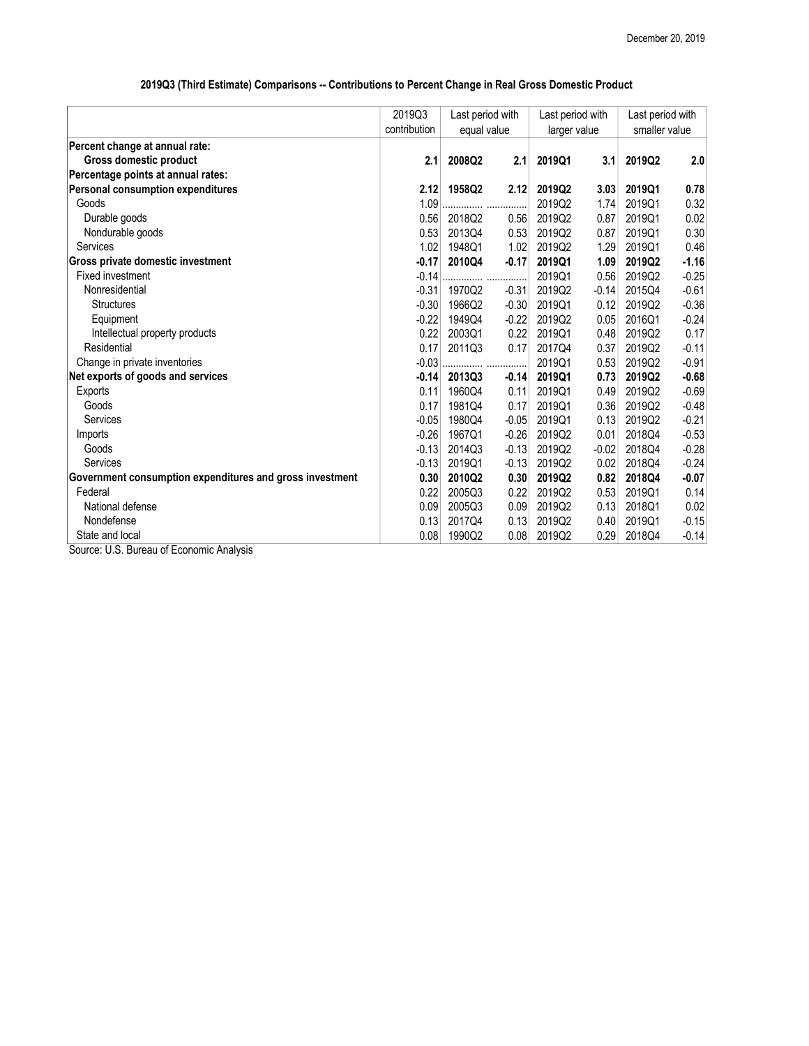|                                                             | 2019Q3       | Last period with<br>equal value |         | Last period with<br>larger value |         | Last period with<br>smaller value |         |
|-------------------------------------------------------------|--------------|---------------------------------|---------|----------------------------------|---------|-----------------------------------|---------|
|                                                             | contribution |                                 |         |                                  |         |                                   |         |
| Percent change at annual rate:                              |              |                                 |         |                                  |         |                                   |         |
| <b>Gross domestic product</b>                               | 2.1          | 2008Q2                          | 2.1     | 2019Q1                           | 3.1     | 2019Q2                            | 2.0     |
| Percentage points at annual rates:                          |              |                                 |         |                                  |         |                                   |         |
| <b>Personal consumption expenditures</b>                    | 2.12         | 1958Q2                          | 2.12    | 2019Q2                           | 3.03    | 2019Q1                            | 0.78    |
| Goods                                                       | 1.09         |                                 |         | 2019Q2                           | 1.74    | 2019Q1                            | 0.32    |
| Durable goods                                               | 0.56         | 2018Q2                          | 0.56    | 2019Q2                           | 0.87    | 2019Q1                            | 0.02    |
| Nondurable goods                                            | 0.53         | 2013Q4                          | 0.53    | 2019Q2                           | 0.87    | 2019Q1                            | 0.30    |
| Services                                                    | 1.02         | 1948Q1                          | 1.02    | 2019Q2                           | 1.29    | 2019Q1                            | 0.46    |
| Gross private domestic investment                           | $-0.17$      | 2010Q4                          | $-0.17$ | 2019Q1                           | 1.09    | 2019Q2                            | $-1.16$ |
| Fixed investment                                            | $-0.14$      |                                 |         | 2019Q1                           | 0.56    | 2019Q2                            | $-0.25$ |
| Nonresidential                                              | $-0.31$      | 1970Q2                          | $-0.31$ | 2019Q2                           | $-0.14$ | 2015Q4                            | $-0.61$ |
| <b>Structures</b>                                           | $-0.30$      | 1966Q2                          | $-0.30$ | 2019Q1                           | 0.12    | 2019Q2                            | $-0.36$ |
| Equipment                                                   | $-0.22$      | 1949Q4                          | $-0.22$ | 2019Q2                           | 0.05    | 2016Q1                            | $-0.24$ |
| Intellectual property products                              | 0.22         | 2003Q1                          | 0.22    | 2019Q1                           | 0.48    | 2019Q2                            | 0.17    |
| Residential                                                 | 0.17         | 2011Q3                          | 0.17    | 2017Q4                           | 0.37    | 2019Q2                            | $-0.11$ |
| Change in private inventories                               | $-0.03$      |                                 |         | 2019Q1                           | 0.53    | 2019Q2                            | $-0.91$ |
| Net exports of goods and services                           | $-0.14$      | 2013Q3                          | $-0.14$ | 2019Q1                           | 0.73    | 2019Q2                            | $-0.68$ |
| Exports                                                     | 0.11         | 1960Q4                          | 0.11    | 2019Q1                           | 0.49    | 2019Q2                            | $-0.69$ |
| Goods                                                       | 0.17         | 1981Q4                          | 0.17    | 2019Q1                           | 0.36    | 2019Q2                            | $-0.48$ |
| Services                                                    | $-0.05$      | 1980Q4                          | $-0.05$ | 2019Q1                           | 0.13    | 2019Q2                            | $-0.21$ |
| Imports                                                     | $-0.26$      | 1967Q1                          | $-0.26$ | 2019Q2                           | 0.01    | 2018Q4                            | $-0.53$ |
| Goods                                                       | $-0.13$      | 2014Q3                          | $-0.13$ | 2019Q2                           | $-0.02$ | 2018Q4                            | $-0.28$ |
| Services                                                    | $-0.13$      | 2019Q1                          | $-0.13$ | 2019Q2                           | 0.02    | 2018Q4                            | $-0.24$ |
| Government consumption expenditures and gross investment    | 0.30         | 2010Q2                          | 0.30    | 2019Q2                           | 0.82    | 2018Q4                            | $-0.07$ |
| Federal                                                     | 0.22         | 2005Q3                          | 0.22    | 2019Q2                           | 0.53    | 2019Q1                            | 0.14    |
| National defense                                            | 0.09         | 2005Q3                          | 0.09    | 2019Q2                           | 0.13    | 2018Q1                            | 0.02    |
| Nondefense                                                  | 0.13         | 2017Q4                          | 0.13    | 2019Q2                           | 0.40    | 2019Q1                            | $-0.15$ |
| State and local                                             | 0.08         | 1990Q2                          | 0.08    | 2019Q2                           | 0.29    | 2018Q4                            | $-0.14$ |
| $\epsilon$ $\Gamma$ $\sim$<br>$\mathbf{A}$ and $\mathbf{A}$ |              |                                 |         |                                  |         |                                   |         |

## 2019Q3 (Third Estimate) Comparisons -- Contributions to Percent Change in Real Gross Domestic Product

Source: U.S. Bureau of Economic Analysis